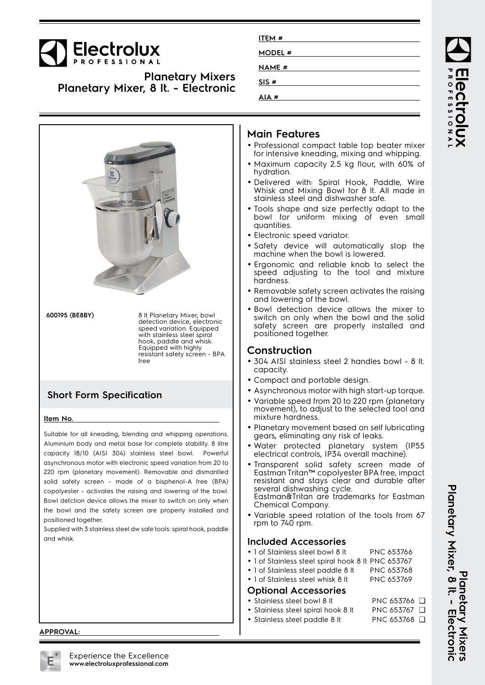

**Planetary Mixers Planetary Mixer, 8 lt. - Electronic**



| ITEM#        |  |
|--------------|--|
| MODEL #      |  |
| <b>NAME#</b> |  |
| SIS#         |  |
| AIA#         |  |

### **Main Features**

- Professional compact table top beater mixer for intensive kneading, mixing and whipping.
- Maximum capacity 2.5 kg flour, with 60% of hydration.
- Delivered with: Spiral Hook, Paddle, Wire Whisk and Mixing Bowl for 8 lt. All made in stainless steel and dishwasher safe.
- Tools shape and size perfectly adapt to the bowl for uniform mixing of even small quantities.
- Electronic speed variator.
- Safety device will automatically stop the machine when the bowl is lowered.
- Ergonomic and reliable knob to select the speed adjusting to the tool and mixture hardness.
- Removable safety screen activates the raising and lowering of the bowl.
- Bowl detection device allows the mixer to switch on only when the bowl and the solid safety screen are properly installed and positioned together.

## **Construction**

- 304 AISI stainless steel 2 handles bowl 8 lt. capacity.
- Compact and portable design.
- Asynchronous motor with high start-up torque.
- • Variable speed from 20 to 220 rpm (planetary movement), to adjust to the selected tool and mixture hardness.
- Planetary movement based on self lubricating gears, eliminating any risk of leaks.
- • Water protected planetary system (IP55 electrical controls, IP34 overall machine).
- • Transparent solid safety screen made of Eastman Tritan™ copolyester BPA free, impact resistant and stays clear and durable after several dishwashing cycle. Eastman&Tritan are trademarks for Eastman Chemical Company.
- • Variable speed rotation of the tools from 67 rpm to 740 rpm.

#### **Included Accessories**

- 1 of Stainless steel bowl 8 lt PNC 653766
- 1 of Stainless steel spiral hook 8 lt PNC 653767
- 1 of Stainless steel paddle 8 lt PNC 653768
- 1 of Stainless steel whisk 8 lt PNC 653769

#### **Optional Accessories**

- Stainless steel bowl 8 lt PNC 653766 □
- Stainless steel spiral hook 8 lt PNC 653767 ❑
- Stainless steel paddle 8 lt PNC 653768 ❑

**APPROVAL:**

Planetary Mixer, 8 It. - Electronic **Planetary Mixer, 8 lt. - Electronic Planetary Mixer Planetary Mixers**

ROFESSIONA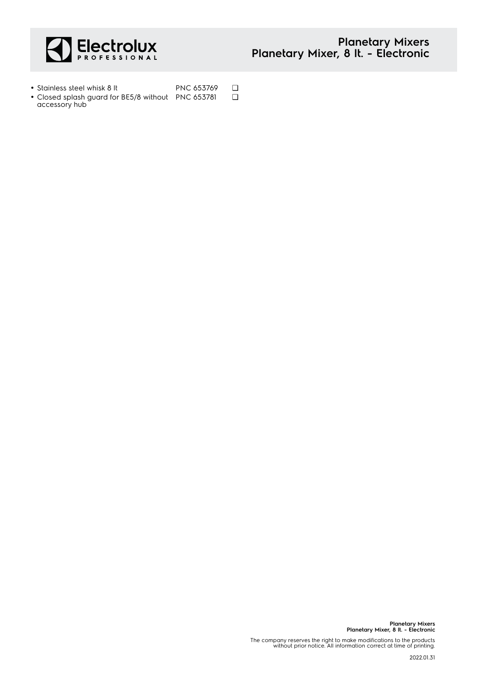

- Stainless steel whisk 8 lt PNC 653769 □
- Closed splash guard for BE5/8 without accessory hub PNC 653781 ❑

**Planetary Mixers Planetary Mixer, 8 lt. - Electronic**

The company reserves the right to make modifications to the products without prior notice. All information correct at time of printing.